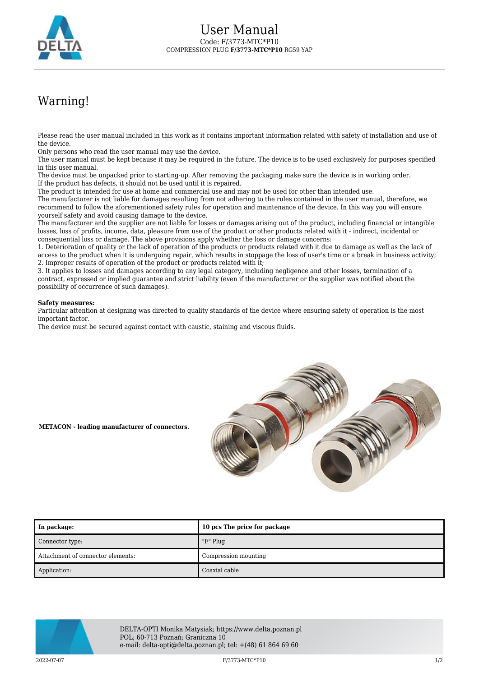

## Warning!

Please read the user manual included in this work as it contains important information related with safety of installation and use of the device.

Only persons who read the user manual may use the device.

The user manual must be kept because it may be required in the future. The device is to be used exclusively for purposes specified in this user manual.

The device must be unpacked prior to starting-up. After removing the packaging make sure the device is in working order. If the product has defects, it should not be used until it is repaired.

The product is intended for use at home and commercial use and may not be used for other than intended use.

The manufacturer is not liable for damages resulting from not adhering to the rules contained in the user manual, therefore, we recommend to follow the aforementioned safety rules for operation and maintenance of the device. In this way you will ensure yourself safety and avoid causing damage to the device.

The manufacturer and the supplier are not liable for losses or damages arising out of the product, including financial or intangible losses, loss of profits, income, data, pleasure from use of the product or other products related with it - indirect, incidental or consequential loss or damage. The above provisions apply whether the loss or damage concerns:

1. Deterioration of quality or the lack of operation of the products or products related with it due to damage as well as the lack of access to the product when it is undergoing repair, which results in stoppage the loss of user's time or a break in business activity; 2. Improper results of operation of the product or products related with it;

3. It applies to losses and damages according to any legal category, including negligence and other losses, termination of a contract, expressed or implied guarantee and strict liability (even if the manufacturer or the supplier was notified about the possibility of occurrence of such damages).

## **Safety measures:**

Particular attention at designing was directed to quality standards of the device where ensuring safety of operation is the most important factor.

The device must be secured against contact with caustic, staining and viscous fluids.



**METACON - leading manufacturer of connectors.**

| In package:                       | 10 pcs The price for package |
|-----------------------------------|------------------------------|
| Connector type:                   | "F" Plug                     |
| Attachment of connector elements: | Compression mounting         |
| Application:                      | Coaxial cable                |



DELTA-OPTI Monika Matysiak; https://www.delta.poznan.pl POL; 60-713 Poznań; Graniczna 10 e-mail: delta-opti@delta.poznan.pl; tel: +(48) 61 864 69 60

2022-07-07 F/3773-MTC\*P10 1/2